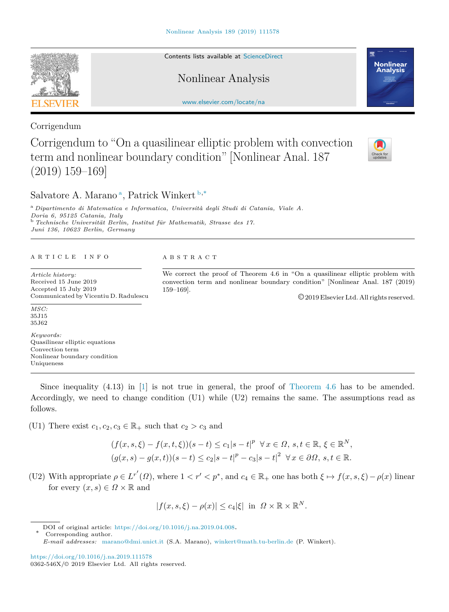Contents lists available at [ScienceDirect](http://www.elsevier.com/locate/na)

Nonlinear Analysis

[www.elsevier.com/locate/na](http://www.elsevier.com/locate/na)

Corrigendum

Corrigendum to "On a quasilinear elliptic problem with convection term and nonlinear boundary condition" [Nonlinear Anal. 187 (2019) 159–169]

S[a](#page-0-0)lvatore A. Marano<sup>a</sup>, Patrick Winkert [b](#page-0-1),<sup>\*</sup>

<span id="page-0-1"></span><span id="page-0-0"></span><sup>a</sup> *Dipartimento di Matematica e Informatica, Università degli Studi di Catania, Viale A. Doria 6, 95125 Catania, Italy* <sup>b</sup> *Technische Universität Berlin, Institut für Mathematik, Strasse des 17. Juni 136, 10623 Berlin, Germany*

## a r t i c l e i n f o

*Article history:* Received 15 June 2019 Accepted 15 July 2019 Communicated by Vicentiu D. Radulescu

*MSC:* 35J15 35J62

*Keywords:* Quasilinear elliptic equations Convection term Nonlinear boundary condition Uniqueness

Since inequality  $(4.13)$  in [[1\]](#page-3-0) is not true in general, the proof of [Theorem](#page-1-0) [4.6](#page-1-0) has to be amended. Accordingly, we need to change condition (U1) while (U2) remains the same. The assumptions read as follows.

(U1) There exist  $c_1, c_2, c_3 \in \mathbb{R}_+$  such that  $c_2 > c_3$  and

$$
(f(x, s, \xi) - f(x, t, \xi))(s - t) \le c_1|s - t|^p \quad \forall x \in \Omega, s, t \in \mathbb{R}, \xi \in \mathbb{R}^N,
$$
  

$$
(g(x, s) - g(x, t))(s - t) \le c_2|s - t|^p - c_3|s - t|^2 \quad \forall x \in \partial\Omega, s, t \in \mathbb{R}.
$$

(U2) With appropriate  $\rho \in L^{r'}(\Omega)$ , where  $1 < r' < p^*$ , and  $c_4 \in \mathbb{R}_+$  one has both  $\xi \mapsto f(x, s, \xi) - \rho(x)$  linear for every  $(x, s) \in \Omega \times \mathbb{R}$  and

$$
|f(x, s, \xi) - \rho(x)| \le c_4 |\xi| \text{ in } \Omega \times \mathbb{R} \times \mathbb{R}^N.
$$

DOI of original article: <https://doi.org/10.1016/j.na.2019.04.008>.

<https://doi.org/10.1016/j.na.2019.111578>

<span id="page-0-2"></span>Corresponding author.







A B S T R A C T

We correct the proof of Theorem 4.6 in "On a quasilinear elliptic problem with convection term and nonlinear boundary condition" [Nonlinear Anal. 187 (2019) 159–169].

©2019 Elsevier Ltd. All rights reserved.

*E-mail addresses:* [marano@dmi.unict.it](mailto:marano@dmi.unict.it) (S.A. Marano), [winkert@math.tu-berlin.de](mailto:winkert@math.tu-berlin.de) (P. Winkert).

<sup>0362-546</sup>X/© 2019 Elsevier Ltd. All rights reserved.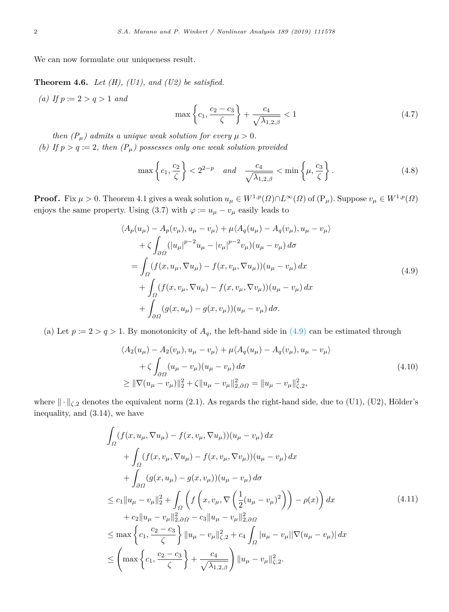<span id="page-1-0"></span>We can now formulate our uniqueness result.

**Theorem 4.6.** *Let (H), (U1), and (U2) be satisfied.*

*(a) If*  $p := 2 > q > 1$  *and* 

<span id="page-1-4"></span><span id="page-1-3"></span><span id="page-1-1"></span>
$$
\max\left\{c_1, \frac{c_2 - c_3}{\zeta}\right\} + \frac{c_4}{\sqrt{\lambda_{1,2,\beta}}} < 1\tag{4.7}
$$

*then*  $(P_\mu)$  admits a unique weak solution for every  $\mu > 0$ . *(b)* If  $p > q := 2$ , then  $(P_{\mu})$  possesses only one weak solution provided

$$
\max\left\{c_1, \frac{c_2}{\zeta}\right\} < 2^{2-p} \quad \text{and} \quad \frac{c_4}{\sqrt{\lambda_{1,2,\beta}}} < \min\left\{\mu, \frac{c_3}{\zeta}\right\}.\tag{4.8}
$$

**Proof.** Fix  $\mu > 0$ . Theorem 4.1 gives a weak solution  $u_{\mu} \in W^{1,p}(\Omega) \cap L^{\infty}(\Omega)$  of  $(P_{\mu})$ . Suppose  $v_{\mu} \in W^{1,p}(\Omega)$ enjoys the same property. Using (3.7) with  $\varphi := u_{\mu} - v_{\mu}$  easily leads to

$$
\langle A_p(u_\mu) - A_p(v_\mu), u_\mu - v_\mu \rangle + \mu \langle A_q(u_\mu) - A_q(v_\mu), u_\mu - v_\mu \rangle + \zeta \int_{\partial \Omega} (|u_\mu|^{p-2} u_\mu - |v_\mu|^{p-2} v_\mu) (u_\mu - v_\mu) d\sigma = \int_{\Omega} (f(x, u_\mu, \nabla u_\mu) - f(x, v_\mu, \nabla u_\mu)) (u_\mu - v_\mu) dx + \int_{\Omega} (f(x, v_\mu, \nabla u_\mu) - f(x, v_\mu, \nabla v_\mu)) (u_\mu - v_\mu) dx + \int_{\partial \Omega} (g(x, u_\mu) - g(x, v_\mu)) (u_\mu - v_\mu) d\sigma.
$$
 (4.9)

(a) Let  $p := 2 > q > 1$ . By monotonicity of  $A_q$ , the left-hand side in [\(4.9\)](#page-1-1) can be estimated through

$$
\langle A_2(u_\mu) - A_2(v_\mu), u_\mu - v_\mu \rangle + \mu \langle A_q(u_\mu) - A_q(v_\mu), u_\mu - v_\mu \rangle + \zeta \int_{\partial \Omega} (u_\mu - v_\mu)(u_\mu - v_\mu) d\sigma \geq \|\nabla (u_\mu - v_\mu)\|_2^2 + \zeta \|u_\mu - v_\mu\|_{2, \partial \Omega}^2 = \|u_\mu - v_\mu\|_{\zeta, 2}^2,
$$
\n(4.10)

where  $\|\cdot\|_{\zeta,2}$  denotes the equivalent norm (2.1). As regards the right-hand side, due to (U1), (U2), Hölder's inequality, and (3.14), we have

<span id="page-1-2"></span>
$$
\int_{\Omega} (f(x, u_{\mu}, \nabla u_{\mu}) - f(x, v_{\mu}, \nabla u_{\mu})) (u_{\mu} - v_{\mu}) dx \n+ \int_{\Omega} (f(x, v_{\mu}, \nabla u_{\mu}) - f(x, v_{\mu}, \nabla v_{\mu})) (u_{\mu} - v_{\mu}) dx \n+ \int_{\partial \Omega} (g(x, u_{\mu}) - g(x, v_{\mu})) (u_{\mu} - v_{\mu}) d\sigma \n\leq c_1 \|u_{\mu} - v_{\mu}\|_2^2 + \int_{\Omega} \left( f\left(x, v_{\mu}, \nabla \left(\frac{1}{2}(u_{\mu} - v_{\mu})^2\right)\right) - \rho(x) \right) dx \n+ c_2 \|u_{\mu} - v_{\mu}\|_{2, \partial \Omega}^2 - c_3 \|u_{\mu} - v_{\mu}\|_{2, \partial \Omega}^2 \n\leq \max \left\{ c_1, \frac{c_2 - c_3}{\zeta} \right\} \|u_{\mu} - v_{\mu}\|_{\zeta, 2}^2 + c_4 \int_{\Omega} |u_{\mu} - v_{\mu}||\nabla(u_{\mu} - v_{\mu})| dx \n\leq \left( \max \left\{ c_1, \frac{c_2 - c_3}{\zeta} \right\} + \frac{c_4}{\sqrt{\lambda_{1, 2, \beta}}} \right) \|u_{\mu} - v_{\mu}\|_{\zeta, 2}^2.
$$
\n(4.11)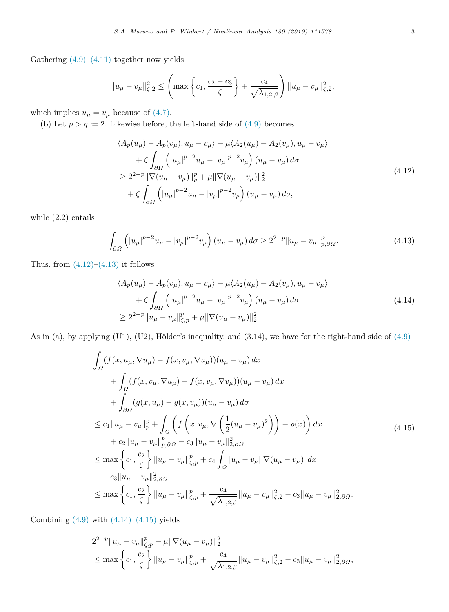Gathering  $(4.9)$  $(4.9)$ – $(4.11)$  $(4.11)$  together now yields

$$
||u_{\mu} - v_{\mu}||_{\zeta,2}^2 \le \left( \max \left\{ c_1, \frac{c_2 - c_3}{\zeta} \right\} + \frac{c_4}{\sqrt{\lambda_{1,2,\beta}}} \right) ||u_{\mu} - v_{\mu}||_{\zeta,2}^2,
$$

which implies  $u_{\mu} = v_{\mu}$  because of  $(4.7)$ .

(b) Let  $p > q := 2$ . Likewise before, the left-hand side of  $(4.9)$  becomes

<span id="page-2-0"></span>
$$
\langle A_p(u_\mu) - A_p(v_\mu), u_\mu - v_\mu \rangle + \mu \langle A_2(u_\mu) - A_2(v_\mu), u_\mu - v_\mu \rangle + \zeta \int_{\partial \Omega} \left( |u_\mu|^{p-2} u_\mu - |v_\mu|^{p-2} v_\mu \right) (u_\mu - v_\mu) d\sigma \geq 2^{2-p} \|\nabla (u_\mu - v_\mu)\|_p^p + \mu \|\nabla (u_\mu - v_\mu)\|_2^2 + \zeta \int_{\partial \Omega} \left( |u_\mu|^{p-2} u_\mu - |v_\mu|^{p-2} v_\mu \right) (u_\mu - v_\mu) d\sigma,
$$
\n(4.12)

while (2.2) entails

$$
\int_{\partial\Omega} \left( |u_{\mu}|^{p-2} u_{\mu} - |v_{\mu}|^{p-2} v_{\mu} \right) (u_{\mu} - v_{\mu}) d\sigma \ge 2^{2-p} \|u_{\mu} - v_{\mu}\|_{p,\partial\Omega}^p. \tag{4.13}
$$

Thus, from  $(4.12)$  $(4.12)$ – $(4.13)$  $(4.13)$  it follows

<span id="page-2-2"></span><span id="page-2-1"></span>
$$
\langle A_p(u_\mu) - A_p(v_\mu), u_\mu - v_\mu \rangle + \mu \langle A_2(u_\mu) - A_2(v_\mu), u_\mu - v_\mu \rangle + \zeta \int_{\partial \Omega} \left( |u_\mu|^{p-2} u_\mu - |v_\mu|^{p-2} v_\mu \right) (u_\mu - v_\mu) d\sigma \ge 2^{2-p} \|u_\mu - v_\mu\|_{\zeta, p}^p + \mu \|\nabla (u_\mu - v_\mu)\|_2^2.
$$
\n(4.14)

As in (a), by applying (U1), (U2), Hölder's inequality, and  $(3.14)$ , we have for the right-hand side of  $(4.9)$  $(4.9)$ 

<span id="page-2-3"></span>
$$
\int_{\Omega} (f(x, u_{\mu}, \nabla u_{\mu}) - f(x, v_{\mu}, \nabla u_{\mu})) (u_{\mu} - v_{\mu}) dx \n+ \int_{\Omega} (f(x, v_{\mu}, \nabla u_{\mu}) - f(x, v_{\mu}, \nabla v_{\mu})) (u_{\mu} - v_{\mu}) dx \n+ \int_{\partial \Omega} (g(x, u_{\mu}) - g(x, v_{\mu})) (u_{\mu} - v_{\mu}) d\sigma \n\leq c_1 \|u_{\mu} - v_{\mu}\|_{p}^{p} + \int_{\Omega} \left( f\left(x, v_{\mu}, \nabla \left(\frac{1}{2}(u_{\mu} - v_{\mu})^{2}\right)\right) - \rho(x) \right) dx \n+ c_2 \|u_{\mu} - v_{\mu}\|_{p, \partial \Omega}^{p} - c_3 \|u_{\mu} - v_{\mu}\|_{2, \partial \Omega}^{2} \n\leq \max \left\{ c_1, \frac{c_2}{\zeta} \right\} \|u_{\mu} - v_{\mu}\|_{\zeta, p}^{p} + c_4 \int_{\Omega} |u_{\mu} - v_{\mu}||\nabla(u_{\mu} - v_{\mu})| dx \n- c_3 \|u_{\mu} - v_{\mu}\|_{2, \partial \Omega}^{2} \n\leq \max \left\{ c_1, \frac{c_2}{\zeta} \right\} \|u_{\mu} - v_{\mu}\|_{\zeta, p}^{p} + \frac{c_4}{\sqrt{\lambda_{1, 2, \beta}}} \|u_{\mu} - v_{\mu}\|_{\zeta, 2}^{2} - c_3 \|u_{\mu} - v_{\mu}\|_{2, \partial \Omega}^{2}.
$$
\n(4.15)

Combining  $(4.9)$  $(4.9)$  with  $(4.14)$  $(4.14)$ – $(4.15)$  yields

$$
2^{2-p} \|u_{\mu} - v_{\mu}\|_{\zeta,p}^p + \mu \|\nabla(u_{\mu} - v_{\mu})\|_2^2
$$
  
\n
$$
\leq \max \left\{c_1, \frac{c_2}{\zeta}\right\} \|u_{\mu} - v_{\mu}\|_{\zeta,p}^p + \frac{c_4}{\sqrt{\lambda_{1,2,\beta}}}\|u_{\mu} - v_{\mu}\|_{\zeta,2}^2 - c_3\|u_{\mu} - v_{\mu}\|_{2,\partial\Omega}^2,
$$